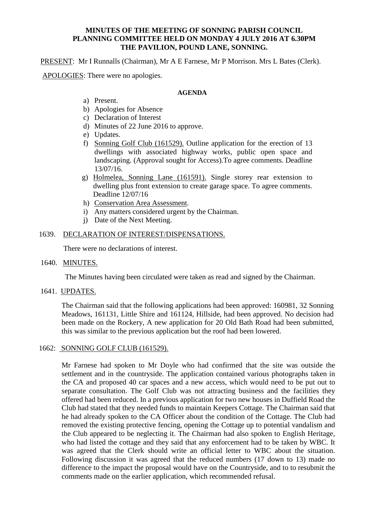# **MINUTES OF THE MEETING OF SONNING PARISH COUNCIL PLANNING COMMITTEE HELD ON MONDAY 4 JULY 2016 AT 6.30PM THE PAVILION, POUND LANE, SONNING.**

PRESENT: Mr I Runnalls (Chairman), Mr A E Farnese, Mr P Morrison. Mrs L Bates (Clerk).

APOLOGIES: There were no apologies.

# **AGENDA**

- a) Present.
- b) Apologies for Absence
- c) Declaration of Interest
- d) Minutes of 22 June 2016 to approve.
- e) Updates.
- f) Sonning Golf Club (161529). Outline application for the erection of 13 dwellings with associated highway works, public open space and landscaping. (Approval sought for Access).To agree comments. Deadline 13/07/16.
- g) Holmelea, Sonning Lane (161591). Single storey rear extension to dwelling plus front extension to create garage space. To agree comments. Deadline 12/07/16
- h) Conservation Area Assessment.
- i) Any matters considered urgent by the Chairman.
- j) Date of the Next Meeting.

# 1639. DECLARATION OF INTEREST/DISPENSATIONS.

There were no declarations of interest.

1640. MINUTES.

The Minutes having been circulated were taken as read and signed by the Chairman.

1641. UPDATES.

The Chairman said that the following applications had been approved: 160981, 32 Sonning Meadows, 161131, Little Shire and 161124, Hillside, had been approved. No decision had been made on the Rockery, A new application for 20 Old Bath Road had been submitted, this was similar to the previous application but the roof had been lowered.

# 1662: SONNING GOLF CLUB (161529).

Mr Farnese had spoken to Mr Doyle who had confirmed that the site was outside the settlement and in the countryside. The application contained various photographs taken in the CA and proposed 40 car spaces and a new access, which would need to be put out to separate consultation. The Golf Club was not attracting business and the facilities they offered had been reduced. In a previous application for two new houses in Duffield Road the Club had stated that they needed funds to maintain Keepers Cottage. The Chairman said that he had already spoken to the CA Officer about the condition of the Cottage. The Club had removed the existing protective fencing, opening the Cottage up to potential vandalism and the Club appeared to be neglecting it. The Chairman had also spoken to English Heritage, who had listed the cottage and they said that any enforcement had to be taken by WBC. It was agreed that the Clerk should write an official letter to WBC about the situation. Following discussion it was agreed that the reduced numbers (17 down to 13) made no difference to the impact the proposal would have on the Countryside, and to to resubmit the comments made on the earlier application, which recommended refusal.